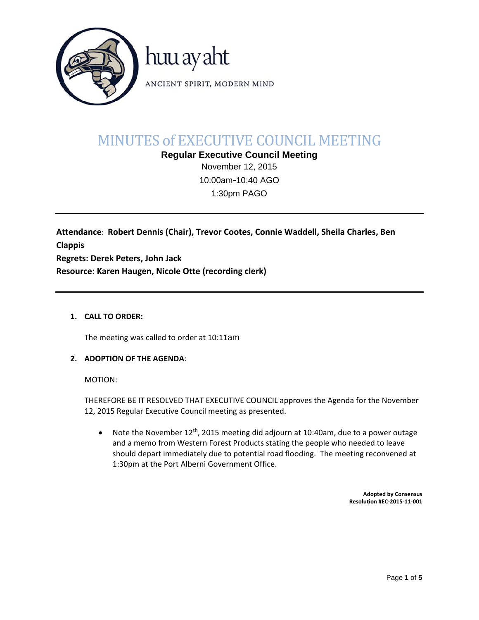

# MINUTES of EXECUTIVE COUNCIL MEETING

**Regular Executive Council Meeting**  November 12, 2015

10:00am**‐**10:40 AGO 1:30pm PAGO

**Attendance**: **Robert Dennis (Chair), Trevor Cootes, Connie Waddell, Sheila Charles, Ben Clappis Regrets: Derek Peters, John Jack Resource: Karen Haugen, Nicole Otte (recording clerk)**

## **1. CALL TO ORDER:**

The meeting was called to order at 10:11am

## **2. ADOPTION OF THE AGENDA**:

MOTION:

THEREFORE BE IT RESOLVED THAT EXECUTIVE COUNCIL approves the Agenda for the November 12, 2015 Regular Executive Council meeting as presented.

• Note the November  $12^{th}$ , 2015 meeting did adjourn at 10:40am, due to a power outage and a memo from Western Forest Products stating the people who needed to leave should depart immediately due to potential road flooding. The meeting reconvened at 1:30pm at the Port Alberni Government Office.

> **Adopted by Consensus Resolution #EC‐2015‐11‐001**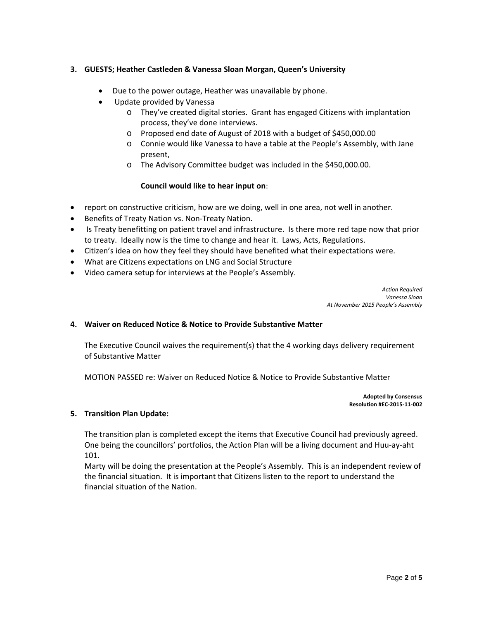## **3. GUESTS; Heather Castleden & Vanessa Sloan Morgan, Queen's University**

- Due to the power outage, Heather was unavailable by phone.
- Update provided by Vanessa
	- o They've created digital stories. Grant has engaged Citizens with implantation process, they've done interviews.
	- o Proposed end date of August of 2018 with a budget of \$450,000.00
	- o Connie would like Vanessa to have a table at the People's Assembly, with Jane present,
	- o The Advisory Committee budget was included in the \$450,000.00.

## **Council would like to hear input on**:

- report on constructive criticism, how are we doing, well in one area, not well in another.
- Benefits of Treaty Nation vs. Non-Treaty Nation.
- Is Treaty benefitting on patient travel and infrastructure. Is there more red tape now that prior to treaty. Ideally now is the time to change and hear it. Laws, Acts, Regulations.
- Citizen's idea on how they feel they should have benefited what their expectations were.
- What are Citizens expectations on LNG and Social Structure
- Video camera setup for interviews at the People's Assembly.

*Action Required Vanessa Sloan At November 2015 People's Assembly*

## **4. Waiver on Reduced Notice & Notice to Provide Substantive Matter**

The Executive Council waives the requirement(s) that the 4 working days delivery requirement of Substantive Matter

MOTION PASSED re: Waiver on Reduced Notice & Notice to Provide Substantive Matter

**Adopted by Consensus Resolution #EC‐2015‐11‐002**

## **5. Transition Plan Update:**

The transition plan is completed except the items that Executive Council had previously agreed. One being the councillors' portfolios, the Action Plan will be a living document and Huu‐ay‐aht 101.

Marty will be doing the presentation at the People's Assembly. This is an independent review of the financial situation. It is important that Citizens listen to the report to understand the financial situation of the Nation.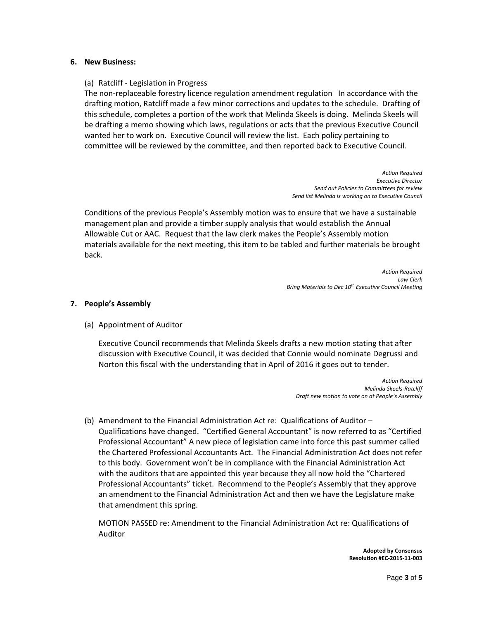#### **6. New Business:**

#### (a) Ratcliff ‐ Legislation in Progress

The non‐replaceable forestry licence regulation amendment regulation In accordance with the drafting motion, Ratcliff made a few minor corrections and updates to the schedule. Drafting of this schedule, completes a portion of the work that Melinda Skeels is doing. Melinda Skeels will be drafting a memo showing which laws, regulations or acts that the previous Executive Council wanted her to work on. Executive Council will review the list. Each policy pertaining to committee will be reviewed by the committee, and then reported back to Executive Council.

> *Action Required Executive Director Send out Policies to Committees for review Send list Melinda is working on to Executive Council*

Conditions of the previous People's Assembly motion was to ensure that we have a sustainable management plan and provide a timber supply analysis that would establish the Annual Allowable Cut or AAC. Request that the law clerk makes the People's Assembly motion materials available for the next meeting, this item to be tabled and further materials be brought back.

> *Action Required Law Clerk Bring Materials to Dec 10th Executive Council Meeting*

#### **7. People's Assembly**

(a) Appointment of Auditor

Executive Council recommends that Melinda Skeels drafts a new motion stating that after discussion with Executive Council, it was decided that Connie would nominate Degrussi and Norton this fiscal with the understanding that in April of 2016 it goes out to tender.

> *Action Required Melinda Skeels‐Ratcliff Draft new motion to vote on at People's Assembly*

(b) Amendment to the Financial Administration Act re: Qualifications of Auditor – Qualifications have changed. "Certified General Accountant" is now referred to as "Certified Professional Accountant" A new piece of legislation came into force this past summer called the Chartered Professional Accountants Act. The Financial Administration Act does not refer to this body. Government won't be in compliance with the Financial Administration Act with the auditors that are appointed this year because they all now hold the "Chartered Professional Accountants" ticket. Recommend to the People's Assembly that they approve an amendment to the Financial Administration Act and then we have the Legislature make that amendment this spring.

MOTION PASSED re: Amendment to the Financial Administration Act re: Qualifications of Auditor

> **Adopted by Consensus Resolution #EC‐2015‐11‐003**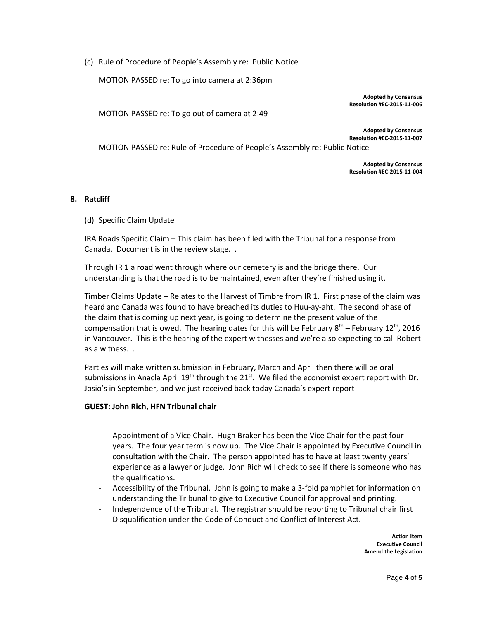(c) Rule of Procedure of People's Assembly re: Public Notice

MOTION PASSED re: To go into camera at 2:36pm

**Adopted by Consensus Resolution #EC‐2015‐11‐006**

MOTION PASSED re: To go out of camera at 2:49

**Adopted by Consensus Resolution #EC‐2015‐11‐007**

MOTION PASSED re: Rule of Procedure of People's Assembly re: Public Notice

**Adopted by Consensus Resolution #EC‐2015‐11‐004**

#### **8. Ratcliff**

(d) Specific Claim Update

IRA Roads Specific Claim – This claim has been filed with the Tribunal for a response from Canada. Document is in the review stage. .

Through IR 1 a road went through where our cemetery is and the bridge there. Our understanding is that the road is to be maintained, even after they're finished using it.

Timber Claims Update – Relates to the Harvest of Timbre from IR 1. First phase of the claim was heard and Canada was found to have breached its duties to Huu-ay-aht. The second phase of the claim that is coming up next year, is going to determine the present value of the compensation that is owed. The hearing dates for this will be February  $8^{th}$  – February 12<sup>th</sup>, 2016 in Vancouver. This is the hearing of the expert witnesses and we're also expecting to call Robert as a witness. .

Parties will make written submission in February, March and April then there will be oral submissions in Anacla April 19<sup>th</sup> through the 21<sup>st</sup>. We filed the economist expert report with Dr. Josio's in September, and we just received back today Canada's expert report

#### **GUEST: John Rich, HFN Tribunal chair**

- ‐ Appointment of a Vice Chair. Hugh Braker has been the Vice Chair for the past four years. The four year term is now up. The Vice Chair is appointed by Executive Council in consultation with the Chair. The person appointed has to have at least twenty years' experience as a lawyer or judge. John Rich will check to see if there is someone who has the qualifications.
- ‐ Accessibility of the Tribunal. John is going to make a 3‐fold pamphlet for information on understanding the Tribunal to give to Executive Council for approval and printing.
- ‐ Independence of the Tribunal. The registrar should be reporting to Tribunal chair first
- ‐ Disqualification under the Code of Conduct and Conflict of Interest Act.

 **Action Item Executive Council Amend the Legislation**